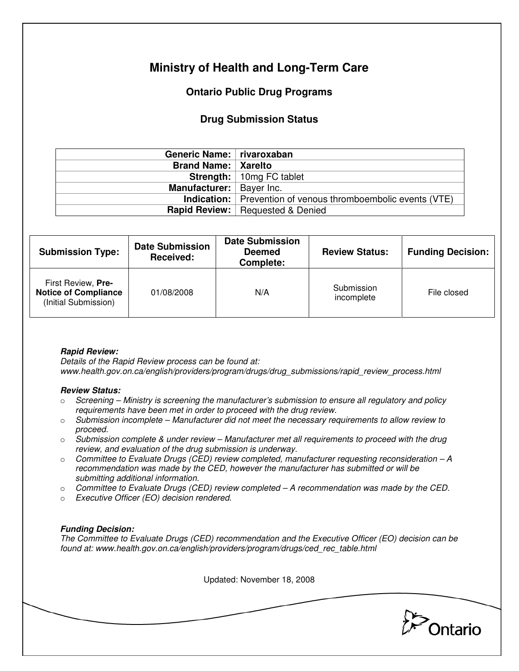# **Ministry of Health and Long-Term Care**

## **Ontario Public Drug Programs**

## **Drug Submission Status**

| Generic Name:   rivaroxaban  |                                                                     |  |  |
|------------------------------|---------------------------------------------------------------------|--|--|
| <b>Brand Name:   Xarelto</b> |                                                                     |  |  |
|                              | <b>Strength:</b>   10mg FC tablet                                   |  |  |
| Manufacturer:   Bayer Inc.   |                                                                     |  |  |
|                              | <b>Indication:</b> Prevention of venous thromboembolic events (VTE) |  |  |
|                              | <b>Rapid Review:</b> Requested & Denied                             |  |  |

| <b>Submission Type:</b>                                                   | <b>Date Submission</b><br>Received: | <b>Date Submission</b><br><b>Deemed</b><br>Complete: | <b>Review Status:</b>    | <b>Funding Decision:</b> |
|---------------------------------------------------------------------------|-------------------------------------|------------------------------------------------------|--------------------------|--------------------------|
| First Review, Pre-<br><b>Notice of Compliance</b><br>(Initial Submission) | 01/08/2008                          | N/A                                                  | Submission<br>incomplete | File closed              |

### **Rapid Review:**

Details of the Rapid Review process can be found at: www.health.gov.on.ca/english/providers/program/drugs/drug\_submissions/rapid\_review\_process.html

#### **Review Status:**

- $\circ$  Screening Ministry is screening the manufacturer's submission to ensure all regulatory and policy requirements have been met in order to proceed with the drug review.
- $\circ$  Submission incomplete Manufacturer did not meet the necessary requirements to allow review to proceed.
- $\circ$  Submission complete & under review Manufacturer met all requirements to proceed with the drug review, and evaluation of the drug submission is underway.
- $\circ$  Committee to Evaluate Drugs (CED) review completed, manufacturer requesting reconsideration  $-A$ recommendation was made by the CED, however the manufacturer has submitted or will be submitting additional information.
- $\circ$  Committee to Evaluate Drugs (CED) review completed  $-A$  recommendation was made by the CED.
- o Executive Officer (EO) decision rendered.

### **Funding Decision:**

The Committee to Evaluate Drugs (CED) recommendation and the Executive Officer (EO) decision can be found at: www.health.gov.on.ca/english/providers/program/drugs/ced\_rec\_table.html

Updated: November 18, 2008

**Pontario**